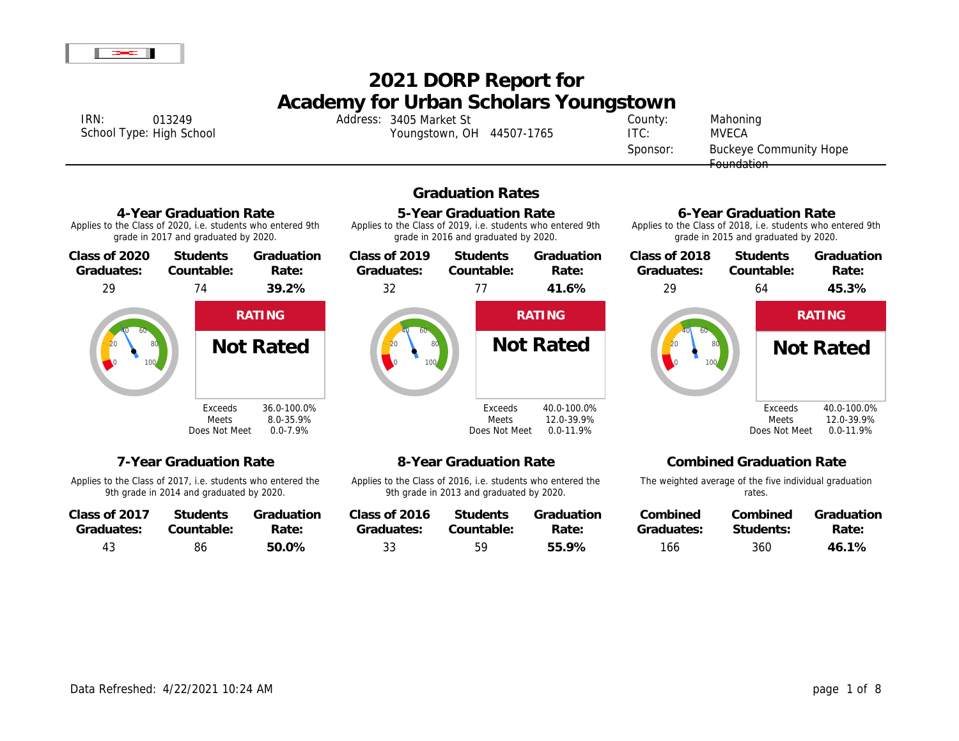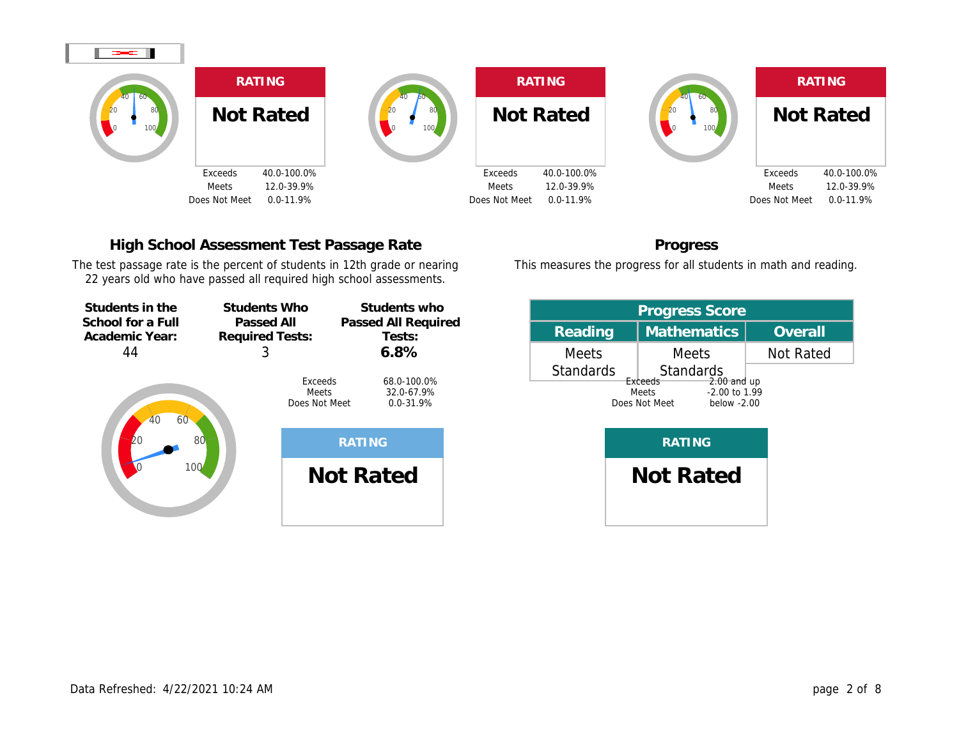

# High School Assessment Test Passage Rate

The test passage rate is the percent of students in 12th grade or nearing 22 years old who have passed all required high school assessments.



Progress

This measures the progress for all students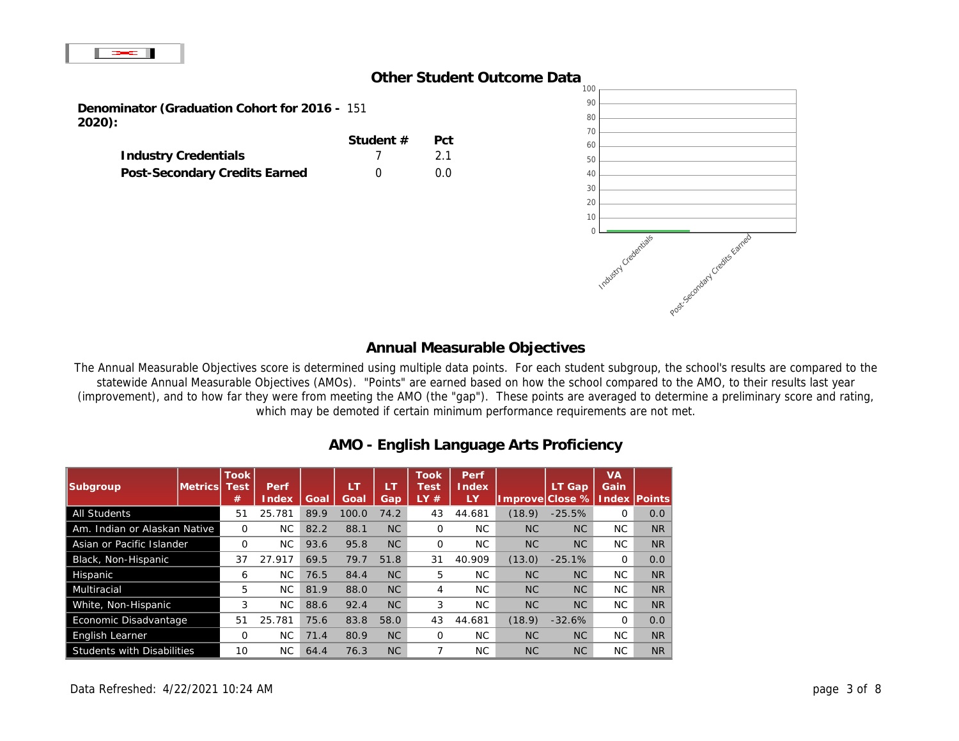## Other Student Outcome Data

| Denominator (Graduation Cohort for 2016 -<br>2020): | 151      |     |
|-----------------------------------------------------|----------|-----|
|                                                     | Student# | Pct |
| <b>Industry Credentials</b>                         |          | 21  |
| Post-Secondary Credits Earned                       |          | n n |

### Annual Measurable Objectives

The Annual Measurable Objectives score is determined using multiple data points. For each student subgroup, the school's re statewide Annual Measurable Objectives (AMOs). "Points" are earned based on how the school compared to the AMO, to (improvement), and to how far they were from meeting the AMO (the "gap"). These points are averaged to determine a prelin which may be demoted if certain minimum performance requirements are not met.

# AMO - English Language Arts Proficiency

| <b>All Students</b>               | 51       | 25.781 | 89.9 | 100.0 | 74.2      | 43 | 44.681 | (18.9)    | $-25.5%$       | 0        | 0.0 <sub>1</sub> |
|-----------------------------------|----------|--------|------|-------|-----------|----|--------|-----------|----------------|----------|------------------|
| Am. Indian or Alaskan Native      | $\Omega$ | NC.    | 82.2 | 88.1  | <b>NC</b> | 0  | NC.    | <b>NC</b> | N <sub>C</sub> | NC       | NR.              |
| Asian or Pacific Islander         | 0        | NC.    | 93.6 | 95.8  | NC.       | 0  | NC.    | <b>NC</b> | N <sub>C</sub> | NC.      | NR.              |
| Black, Non-Hispanic               | 37       | 27.917 | 69.5 | 79.7  | 51.8      | 31 | 40.909 | (13.0)    | $-25.1%$       | 0        | 0.0 <sub>1</sub> |
| Hispanic                          | 6        | NC.    | 76.5 | 84.4  | <b>NC</b> | 5  | NC.    | <b>NC</b> | N <sub>C</sub> | NC       | NR.              |
| <b>Multiracial</b>                | 5        | NC.    | 81.9 | 88.0  | <b>NC</b> | 4  | NC.    | <b>NC</b> | N <sub>C</sub> | NC.      | NR.              |
| White, Non-Hispanic               | 3        | NC.    | 88.6 | 92.4  | <b>NC</b> | 3  | NC.    | <b>NC</b> | N <sub>C</sub> | NC.      | N <sub>R</sub>   |
| Economic Disadvantage             | 51       | 25.781 | 75.6 | 83.8  | 58.0      | 43 | 44.681 | (18.9)    | $-32.6%$       | $\Omega$ | 0.0 <sub>1</sub> |
| <b>English Learner</b>            | 0        | NC.    | 71.4 | 80.9  | <b>NC</b> | 0  | NC.    | <b>NC</b> | N <sub>C</sub> | NC.      | NR.              |
| <b>Students with Disabilities</b> | 10       | NC.    | 64.4 | 76.3  | <b>NC</b> |    | NC.    | <b>NC</b> | N <sub>C</sub> | NC.      | NR               |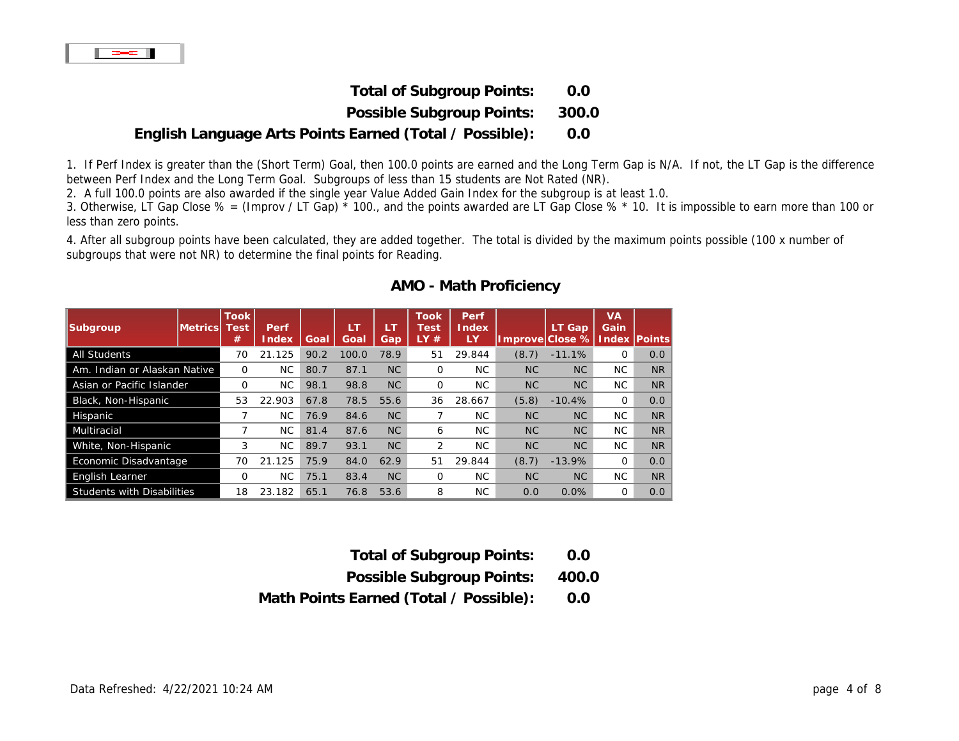| <b>Total of Subgroup Points:</b>                        | 0.0   |
|---------------------------------------------------------|-------|
| Possible Subgroup Points:                               | 300.0 |
| English Language Arts Points Earned (Total / Possible): | 0.0   |

1. If Perf Index is greater than the (Short Term) Goal, then 100.0 points are earned and the Long Term Gap is N/A. If not, the L between Perf Index and the Long Term Goal. Subgroups of less than 15 students are Not Rated (NR).

2. A full 100.0 points are also awarded if the single year Value Added Gain Index for the subgroup is at least 1.0.

3. Otherwise, LT Gap Close % = (Improv / LT Gap)  $*$  100., and the points awarded are LT Gap Close %  $*$  10. It is impossible to less than zero points.

4. After all subgroup points have been calculated, they are added together. The total is divided by the maximum points possible subgroups that were not NR) to determine the final points for Reading.

| <b>All Students</b>               | 70 | 21.125    | 90.2 | 100.0 | 78.9      | 51 | 29.844 | (8.7)     | $-11.1%$  | 0   | 0.0       |
|-----------------------------------|----|-----------|------|-------|-----------|----|--------|-----------|-----------|-----|-----------|
| Am. Indian or Alaskan Native      | 0  | NC.       | 80.7 | 87.1  | <b>NC</b> | 0  | NC.    | <b>NC</b> | NC.       | NC. | <b>NR</b> |
| Asian or Pacific Islander         | 0  | NC.       | 98.1 | 98.8  | <b>NC</b> | 0  | NC.    | <b>NC</b> | <b>NC</b> | NC. | <b>NR</b> |
| Black, Non-Hispanic               | 53 | 22.903    | 67.8 | 78.5  | 55.6      | 36 | 28.667 | (5.8)     | $-10.4%$  | 0   | 0.0       |
| Hispanic                          |    | NC.       | 76.9 | 84.6  | <b>NC</b> |    | NC.    | <b>NC</b> | <b>NC</b> | NC. | <b>NR</b> |
| <b>Multiracial</b>                |    | NC.       | 81.4 | 87.6  | <b>NC</b> | 6  | NC.    | <b>NC</b> | <b>NC</b> | NC. | <b>NR</b> |
| White, Non-Hispanic               | 3  | <b>NC</b> | 89.7 | 93.1  | <b>NC</b> | 2  | NC.    | <b>NC</b> | <b>NC</b> | NC. | <b>NR</b> |
| Economic Disadvantage             | 70 | 21.125    | 75.9 | 84.0  | 62.9      | 51 | 29.844 | (8.7)     | $-13.9%$  | 0   | 0.0       |
| <b>English Learner</b>            | 0  | NC.       | 75.1 | 83.4  | <b>NC</b> | 0  | NC.    | <b>NC</b> | <b>NC</b> | NC. | <b>NR</b> |
| <b>Students with Disabilities</b> | 18 | 23.182    | 65.1 | 76.8  | 53.6      | 8  | NC.    | 0.0       | 0.0%      | 0   | 0.0       |

# AMO - Math Proficiency

| <b>Total of Subgroup Points:</b> | 0.0   |
|----------------------------------|-------|
| Possible Subgroup Points:        | 400.0 |

Math Points Earned (Total / Possible): 0.0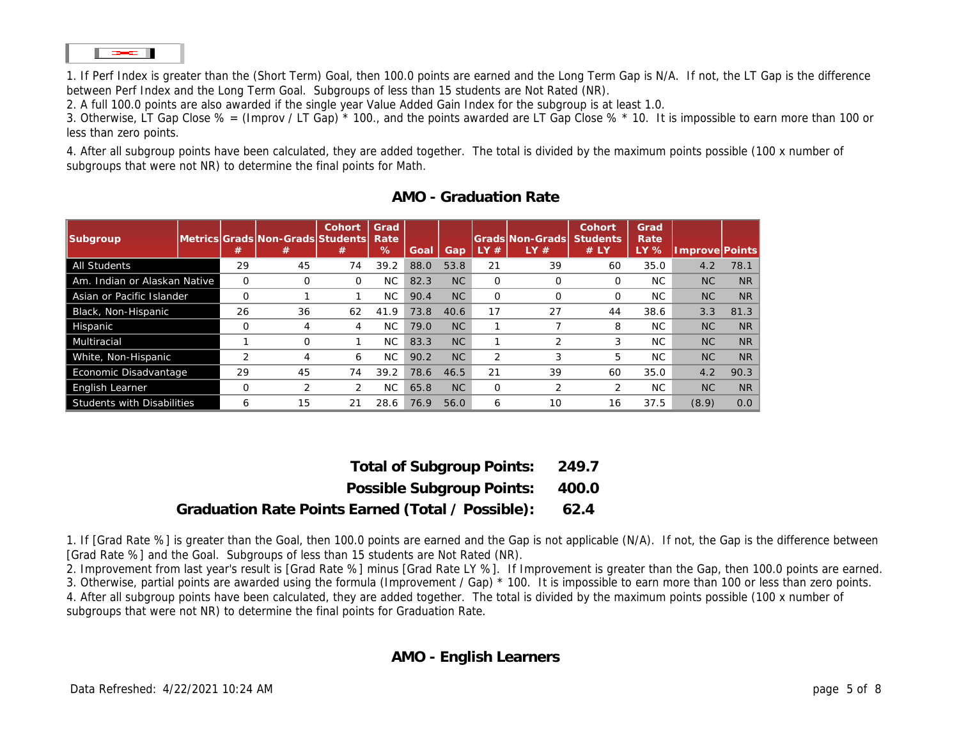1. If Perf Index is greater than the (Short Term) Goal, then 100.0 points are earned and the Long Term Gap is N/A. If not, the L between Perf Index and the Long Term Goal. Subgroups of less than 15 students are Not Rated (NR).

2. A full 100.0 points are also awarded if the single year Value Added Gain Index for the subgroup is at least 1.0.

3. Otherwise, LT Gap Close % = (Improv / LT Gap) \* 100., and the points awarded are LT Gap Close % \* 10. It is impossible to less than zero points.

4. After all subgroup points have been calculated, they are added together. The total is divided by the maximum points possible subgroups that were not NR) to determine the final points for Math.

## AMO - Graduation Rate

| All Students                 | 29             | 45             | 74       | 39.2 | 88.0 | 53.8           | 21       | 39             | 60       | 35.0 | 4.2       | 78 |
|------------------------------|----------------|----------------|----------|------|------|----------------|----------|----------------|----------|------|-----------|----|
| Am. Indian or Alaskan Native | 0              | 0              | $\Omega$ | NC   | 82.3 | <b>NC</b>      | $\Omega$ | $\Omega$       | 0        | NC.  | <b>NC</b> |    |
| Asian or Pacific Islander    | $\Omega$       |                |          | NC   | 90.4 | N <sub>C</sub> | $\Omega$ | $\Omega$       | $\Omega$ | NC.  | <b>NC</b> |    |
| Black, Non-Hispanic          | 26             | 36             | 62       | 41.9 | 73.8 | 40.6           | 17       | 27             | 44       | 38.6 | 3.3       | 81 |
| Hispanic                     | 0              | 4              | 4        | NC   | 79.0 | N <sub>C</sub> |          |                | 8        | NC.  | <b>NC</b> |    |
| Multiracial                  |                | 0              |          | NC   | 83.3 | <b>NC</b>      |          | 2              | 3        | NC.  | <b>NC</b> |    |
| White, Non-Hispanic          | $\overline{2}$ | 4              | 6        | NC.  | 90.2 | N <sub>C</sub> | 2        | 3              | 5        | NC.  | <b>NC</b> |    |
| Economic Disadvantage        | 29             | 45             | 74       | 39.2 | 78.6 | 46.5           | 21       | 39             | 60       | 35.0 | 4.2       | 90 |
| English Learner              | $\Omega$       | $\overline{2}$ | 2        | NC.  | 65.8 | NC             | $\Omega$ | $\overline{2}$ | 2        | NC.  | <b>NC</b> |    |
| Students with Disabilities   | 6              | 15             | 21       | 28.6 | 76.9 | 56.0           | 6        | 10             | 16       | 37.5 | (8.9)     |    |

| <b>Total of Subgroup Points:</b>                  | 249.7 |
|---------------------------------------------------|-------|
| Possible Subgroup Points:                         | 400.0 |
| Graduation Rate Points Earned (Total / Possible): | 62.4  |

1. If [Grad Rate %] is greater than the Goal, then 100.0 points are earned and the Gap is not applicable (N/A). If not, the Gap is [Grad Rate %] and the Goal. Subgroups of less than 15 students are Not Rated (NR).

2. Improvement from last year's result is [Grad Rate %] minus [Grad Rate LY %]. If Improvement is greater than the Gap, then 3. Otherwise, partial points are awarded using the formula (Improvement / Gap) \* 100. It is impossible to earn more than 100 or 4. After all subgroup points have been calculated, they are added together. The total is divided by the maximum points possible subgroups that were not NR) to determine the final points for Graduation Rate.

## AMO - English Learners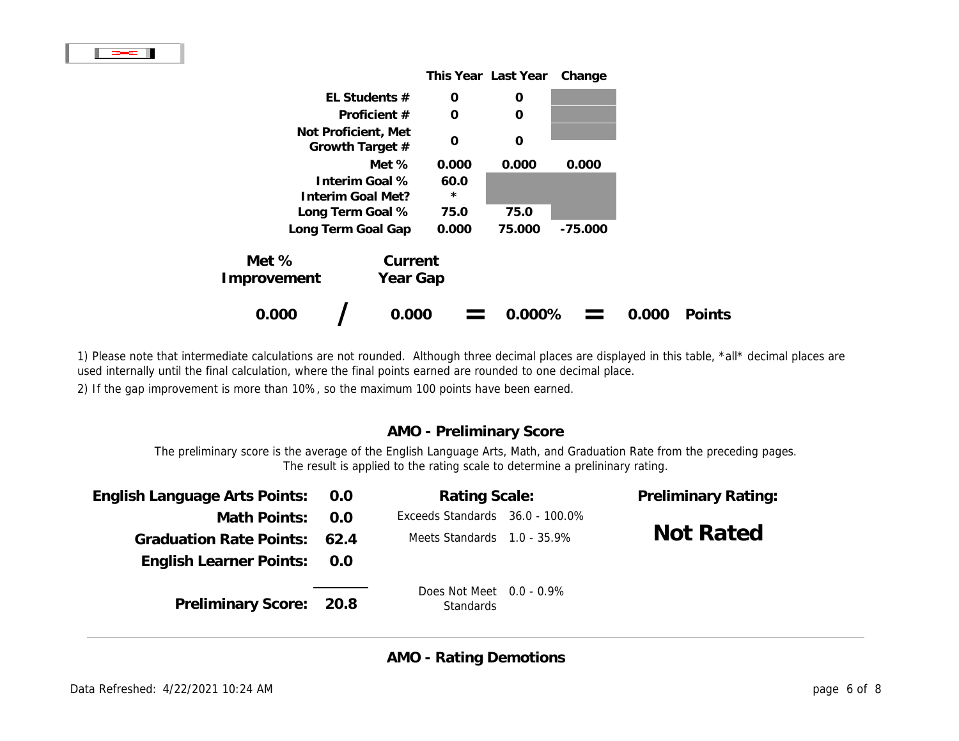

1) Please note that intermediate calculations are not rounded. Although three decimal places are displayed in this table, \*all\* used internally until the final calculation, where the final points earned are rounded to one decimal place.

2) If the gap improvement is more than 10%, so the maximum 100 points have been earned.

# AMO - Preliminary Score

The preliminary score is the average of the English Language Arts, Math, and Graduation Rate from the preceding The result is applied to the rating scale to determine a prelininary rating.

| English Language Arts Points:  | 0.0  | <b>Rating Scale:</b>                     | <b>Preliminary Ratio</b> |
|--------------------------------|------|------------------------------------------|--------------------------|
| Math Points:                   | 0.0  | Exceeds Standard: 36.0 - 100.0%          |                          |
| <b>Graduation Rate Points:</b> | 62.4 | Meets Standards 1.0 - 35.9%              | <b>Not Rated</b>         |
| <b>English Learner Points:</b> | 0.0  |                                          |                          |
| <b>Preliminary Score:</b>      | 20.8 | Does Not Meet $0.0 - 0.9\%$<br>Standards |                          |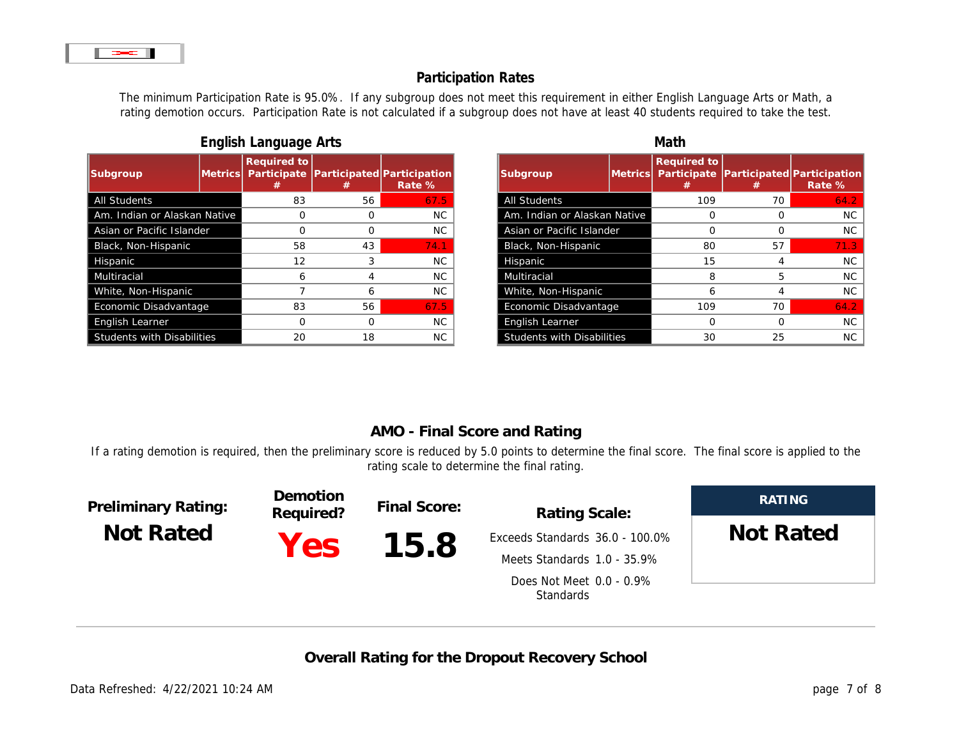# Participation Rates

The minimum Participation Rate is 95.0%. If any subgroup does not meet this requirement in either English Language rating demotion occurs. Participation Rate is not calculated if a subgroup does not have at least 40 students required

| ี∵⊐                               |    |    |           |  |  |
|-----------------------------------|----|----|-----------|--|--|
|                                   |    |    |           |  |  |
| <b>All Students</b>               | 83 | 56 | 67.5      |  |  |
| Am. Indian or Alaskan Native      | 0  |    | <b>NC</b> |  |  |
| Asian or Pacific Islander         | 0  |    | <b>NC</b> |  |  |
| Black, Non-Hispanic               | 58 | 43 | 74.1      |  |  |
| Hispanic                          | 12 | 3  | NC.       |  |  |
| <b>Multiracial</b>                | 6  | 4  | <b>NC</b> |  |  |
| White, Non-Hispanic               | 7  | 6  | <b>NC</b> |  |  |
| Economic Disadvantage             | 83 | 56 | 67.5      |  |  |
| <b>English Learner</b>            | 0  |    | <b>NC</b> |  |  |
| <b>Students with Disabilities</b> | 20 | 18 | <b>NC</b> |  |  |

| English Language Arts |  |
|-----------------------|--|
|                       |  |

|       | English Language Arts |          |           |                                   | Math        |  |  |  |
|-------|-----------------------|----------|-----------|-----------------------------------|-------------|--|--|--|
|       |                       |          |           |                                   |             |  |  |  |
|       | 83                    | 56       | 67.5      | <b>All Students</b>               | 109         |  |  |  |
| ative |                       | $\Omega$ | <b>NC</b> | Am. Indian or Alaskan Native      | $\mathbf 0$ |  |  |  |
|       |                       | 0        | <b>NC</b> | Asian or Pacific Islander         | $\Omega$    |  |  |  |
|       | 58                    | 43       | 74.1      | Black, Non-Hispanic               | 80          |  |  |  |
|       | 12                    | 3        | <b>NC</b> | Hispanic                          | 15          |  |  |  |
|       | 6                     | 4        | NC.       | <b>Multiracial</b>                | 8           |  |  |  |
|       |                       | 6        | <b>NC</b> | White, Non-Hispanic               | 6           |  |  |  |
|       | 83                    | 56       | 67.5      | Economic Disadvantage             | 109         |  |  |  |
|       | 0                     | $\Omega$ | <b>NC</b> | English Learner                   | $\Omega$    |  |  |  |
|       | 20                    | 18       | <b>NC</b> | <b>Students with Disabilities</b> | 30          |  |  |  |
|       |                       |          |           |                                   |             |  |  |  |

# AMO - Final Score and Rating

If a rating demotion is required, then the preliminary score is reduced by 5.0 points to determine the final score. The final s rating scale to determine the final rating.

| <b>Preliminary Rating:</b><br><b>Not Rated</b> | <b>Demotion</b><br>Required? | Final Score: | <b>Rating Scale:</b>                  |  |
|------------------------------------------------|------------------------------|--------------|---------------------------------------|--|
|                                                | Yes:                         | 15.8         | Exceeds Standards 36.0 - 100.0%       |  |
|                                                |                              |              | Meets Standards 1.0 - 35.9%           |  |
|                                                |                              |              | Does Not Meet 0.0 - 0.9%<br>Standards |  |
|                                                |                              |              |                                       |  |

Overall Rating for the Dropout Recovery School